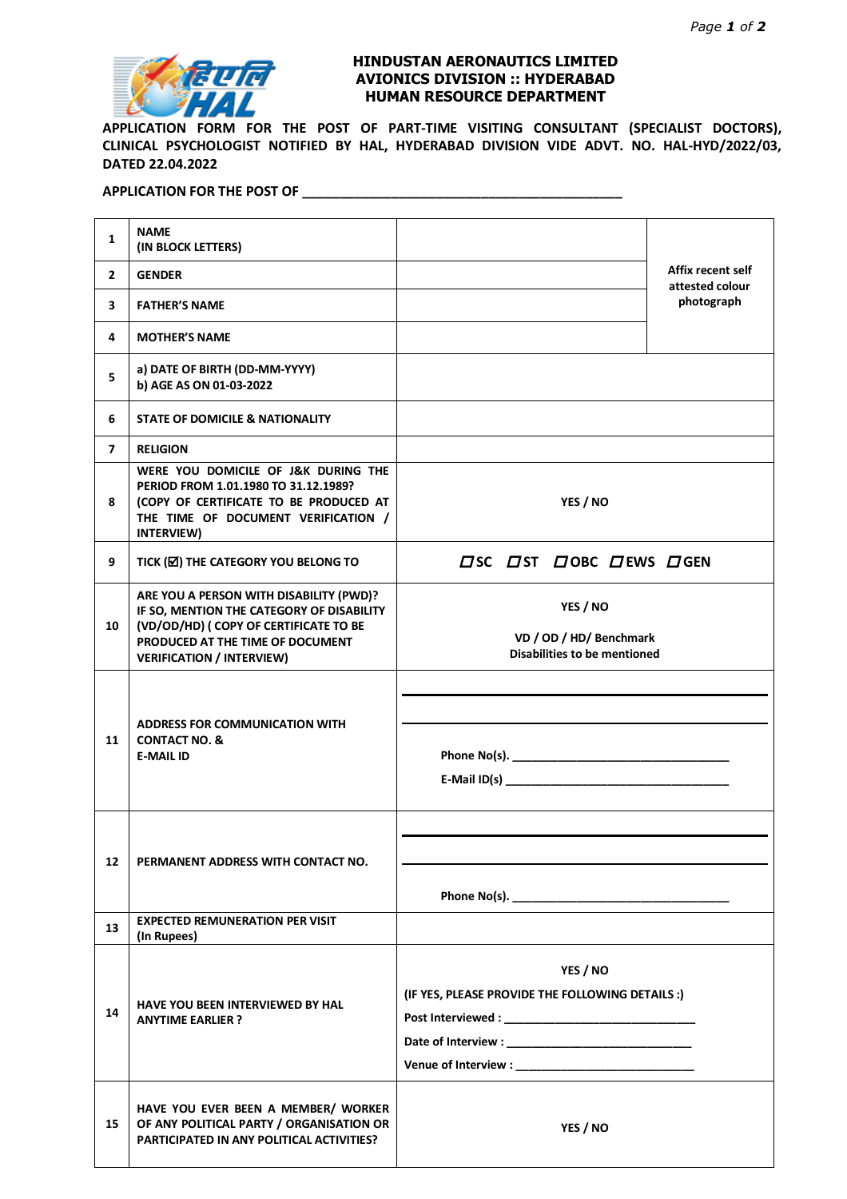

## **HINDUSTAN AERONAUTICS LIMITED AVIONICS DIVISION :: HYDERABAD HUMAN RESOURCE DEPARTMENT**

**APPLICATION FORM FOR THE POST OF PART-TIME VISITING CONSULTANT (SPECIALIST DOCTORS), CLINICAL PSYCHOLOGIST NOTIFIED BY HAL, HYDERABAD DIVISION VIDE ADVT. NO. HAL-HYD/2022/03, DATED 22.04.2022**

## **APPLICATION FOR THE POST OF \_\_\_\_\_\_\_\_\_\_\_\_\_\_\_\_\_\_\_\_\_\_\_\_\_\_\_\_\_\_\_\_\_\_\_\_\_\_\_\_\_\_\_**

| $\mathbf{1}$   | <b>NAME</b><br>(IN BLOCK LETTERS)                                                                                                                                                                      |                                                                            |                               |  |  |  |
|----------------|--------------------------------------------------------------------------------------------------------------------------------------------------------------------------------------------------------|----------------------------------------------------------------------------|-------------------------------|--|--|--|
| $\mathbf{2}$   | <b>GENDER</b>                                                                                                                                                                                          | Affix recent self                                                          |                               |  |  |  |
| 3              | <b>FATHER'S NAME</b>                                                                                                                                                                                   |                                                                            | attested colour<br>photograph |  |  |  |
| 4              | <b>MOTHER'S NAME</b>                                                                                                                                                                                   |                                                                            |                               |  |  |  |
| 5              | a) DATE OF BIRTH (DD-MM-YYYY)<br>b) AGE AS ON 01-03-2022                                                                                                                                               |                                                                            |                               |  |  |  |
| 6              | STATE OF DOMICILE & NATIONALITY                                                                                                                                                                        |                                                                            |                               |  |  |  |
| $\overline{ }$ | <b>RELIGION</b>                                                                                                                                                                                        |                                                                            |                               |  |  |  |
| 8              | WERE YOU DOMICILE OF J&K DURING THE<br>PERIOD FROM 1.01.1980 TO 31.12.1989?<br>(COPY OF CERTIFICATE TO BE PRODUCED AT<br>THE TIME OF DOCUMENT VERIFICATION /<br>INTERVIEW)                             | YES / NO                                                                   |                               |  |  |  |
| 9              | TICK (M) THE CATEGORY YOU BELONG TO                                                                                                                                                                    | $\Box$ SC $\Box$ ST $\Box$ OBC $\Box$ EWS $\Box$ GEN                       |                               |  |  |  |
| 10             | ARE YOU A PERSON WITH DISABILITY (PWD)?<br>IF SO, MENTION THE CATEGORY OF DISABILITY<br>(VD/OD/HD) ( COPY OF CERTIFICATE TO BE<br>PRODUCED AT THE TIME OF DOCUMENT<br><b>VERIFICATION / INTERVIEW)</b> | YES / NO<br>VD / OD / HD/ Benchmark<br><b>Disabilities to be mentioned</b> |                               |  |  |  |
| 11             | <b>ADDRESS FOR COMMUNICATION WITH</b><br><b>CONTACT NO. &amp;</b><br><b>E-MAIL ID</b>                                                                                                                  |                                                                            |                               |  |  |  |
| 12             | PERMANENT ADDRESS WITH CONTACT NO.                                                                                                                                                                     |                                                                            |                               |  |  |  |
| 13             | <b>EXPECTED REMUNERATION PER VISIT</b>                                                                                                                                                                 |                                                                            |                               |  |  |  |
| 14             | (In Rupees)<br>HAVE YOU BEEN INTERVIEWED BY HAL<br><b>ANYTIME EARLIER ?</b>                                                                                                                            | YES / NO<br>(IF YES, PLEASE PROVIDE THE FOLLOWING DETAILS :)               |                               |  |  |  |
| 15             | HAVE YOU EVER BEEN A MEMBER/ WORKER<br>OF ANY POLITICAL PARTY / ORGANISATION OR<br>PARTICIPATED IN ANY POLITICAL ACTIVITIES?                                                                           | YES / NO                                                                   |                               |  |  |  |